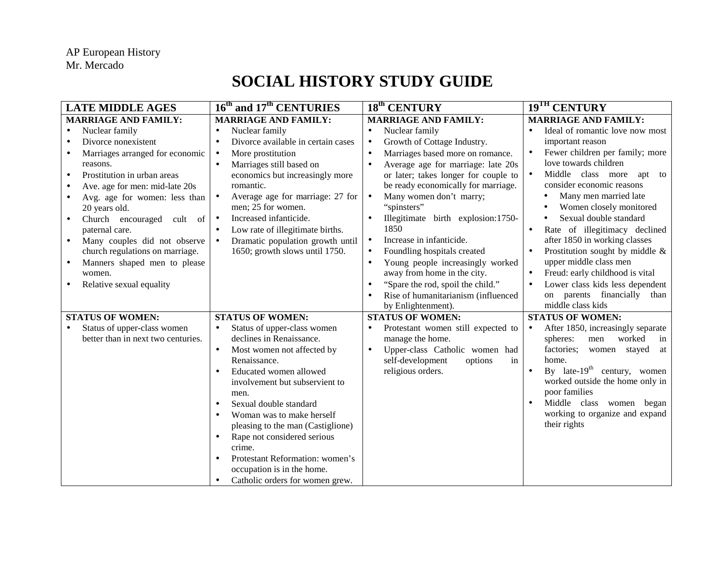## **SOCIAL HISTORY STUDY GUIDE**

| <b>LATE MIDDLE AGES</b>                                                                                                                                                                                                                                                                                                                                                                                                                                                                    | 16 <sup>th</sup> and 17 <sup>th</sup> CENTURIES                                                                                                                                                                                                                                                                                                                                                                                                            | 18 <sup>th</sup> CENTURY                                                                                                                                                                                                                                                                                                                                                                                                                                                                                                                                                                            | 19 <sup>TH</sup> CENTURY                                                                                                                                                                                                                                                                                                                                                                                                                                                                                                                                               |
|--------------------------------------------------------------------------------------------------------------------------------------------------------------------------------------------------------------------------------------------------------------------------------------------------------------------------------------------------------------------------------------------------------------------------------------------------------------------------------------------|------------------------------------------------------------------------------------------------------------------------------------------------------------------------------------------------------------------------------------------------------------------------------------------------------------------------------------------------------------------------------------------------------------------------------------------------------------|-----------------------------------------------------------------------------------------------------------------------------------------------------------------------------------------------------------------------------------------------------------------------------------------------------------------------------------------------------------------------------------------------------------------------------------------------------------------------------------------------------------------------------------------------------------------------------------------------------|------------------------------------------------------------------------------------------------------------------------------------------------------------------------------------------------------------------------------------------------------------------------------------------------------------------------------------------------------------------------------------------------------------------------------------------------------------------------------------------------------------------------------------------------------------------------|
| <b>MARRIAGE AND FAMILY:</b>                                                                                                                                                                                                                                                                                                                                                                                                                                                                | <b>MARRIAGE AND FAMILY:</b>                                                                                                                                                                                                                                                                                                                                                                                                                                | <b>MARRIAGE AND FAMILY:</b>                                                                                                                                                                                                                                                                                                                                                                                                                                                                                                                                                                         | <b>MARRIAGE AND FAMILY:</b>                                                                                                                                                                                                                                                                                                                                                                                                                                                                                                                                            |
| Nuclear family<br>Divorce nonexistent<br>Marriages arranged for economic<br>reasons.<br>Prostitution in urban areas<br>$\bullet$<br>Ave. age for men: mid-late 20s<br>$\bullet$<br>Avg. age for women: less than<br>$\bullet$<br>20 years old.<br>Church encouraged cult of<br>$\bullet$<br>paternal care.<br>Many couples did not observe<br>$\bullet$<br>church regulations on marriage.<br>Manners shaped men to please<br>$\bullet$<br>women.<br>Relative sexual equality<br>$\bullet$ | Nuclear family<br>Divorce available in certain cases<br>More prostitution<br>$\bullet$<br>Marriages still based on<br>economics but increasingly more<br>romantic.<br>Average age for marriage: 27 for<br>$\bullet$<br>men; 25 for women.<br>Increased infanticide.<br>$\bullet$<br>Low rate of illegitimate births.<br>Dramatic population growth until<br>$\bullet$<br>1650; growth slows until 1750.                                                    | Nuclear family<br>Growth of Cottage Industry.<br>$\bullet$<br>Marriages based more on romance.<br>$\bullet$<br>Average age for marriage: late 20s<br>or later; takes longer for couple to<br>be ready economically for marriage.<br>Many women don't marry;<br>$\bullet$<br>"spinsters"<br>Illegitimate birth explosion:1750-<br>1850<br>Increase in infanticide.<br>$\bullet$<br>Foundling hospitals created<br>$\bullet$<br>Young people increasingly worked<br>$\bullet$<br>away from home in the city.<br>"Spare the rod, spoil the child."<br>$\bullet$<br>Rise of humanitarianism (influenced | Ideal of romantic love now most<br>important reason<br>Fewer children per family; more<br>love towards children<br>Middle class more<br>$\bullet$<br>apt to<br>consider economic reasons<br>Many men married late<br>Women closely monitored<br>Sexual double standard<br>Rate of illegitimacy declined<br>$\bullet$<br>after 1850 in working classes<br>Prostitution sought by middle &<br>upper middle class men<br>Freud: early childhood is vital<br>$\bullet$<br>Lower class kids less dependent<br>$\bullet$<br>on parents financially than<br>middle class kids |
| <b>STATUS OF WOMEN:</b><br>Status of upper-class women<br>better than in next two centuries.                                                                                                                                                                                                                                                                                                                                                                                               | <b>STATUS OF WOMEN:</b><br>Status of upper-class women<br>declines in Renaissance.<br>Most women not affected by<br>$\bullet$<br>Renaissance.<br>Educated women allowed<br>involvement but subservient to<br>men.<br>Sexual double standard<br>Woman was to make herself<br>pleasing to the man (Castiglione)<br>Rape not considered serious<br>crime.<br>Protestant Reformation: women's<br>occupation is in the home.<br>Catholic orders for women grew. | by Enlightenment).<br><b>STATUS OF WOMEN:</b><br>Protestant women still expected to<br>manage the home.<br>Upper-class Catholic women had<br>$\bullet$<br>self-development<br>options<br>in<br>religious orders.                                                                                                                                                                                                                                                                                                                                                                                    | <b>STATUS OF WOMEN:</b><br>After 1850, increasingly separate<br>worked<br>spheres:<br>men<br>in<br>factories;<br>stayed<br>women<br>at<br>home.<br>By late- $19th$ century, women<br>worked outside the home only in<br>poor families<br>Middle class women began<br>working to organize and expand<br>their rights                                                                                                                                                                                                                                                    |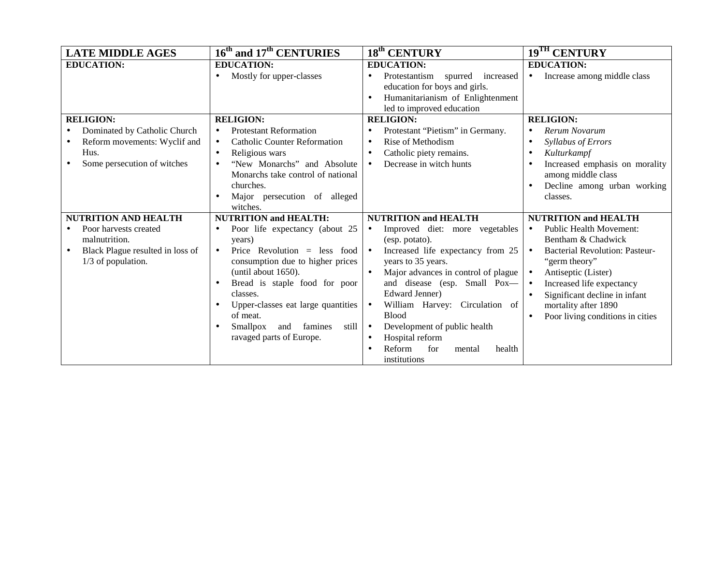| <b>LATE MIDDLE AGES</b>                                                                            | 16 <sup>th</sup> and 17 <sup>th</sup> CENTURIES                                                                                                                                                                                                                                                                    | 18 <sup>th</sup> CENTURY                                                                                                                                                                                                                                                                                                                                                                                           | 19 <sup>TH</sup> CENTURY                                                                                                                                                                                                                                                                                                 |
|----------------------------------------------------------------------------------------------------|--------------------------------------------------------------------------------------------------------------------------------------------------------------------------------------------------------------------------------------------------------------------------------------------------------------------|--------------------------------------------------------------------------------------------------------------------------------------------------------------------------------------------------------------------------------------------------------------------------------------------------------------------------------------------------------------------------------------------------------------------|--------------------------------------------------------------------------------------------------------------------------------------------------------------------------------------------------------------------------------------------------------------------------------------------------------------------------|
| <b>EDUCATION:</b>                                                                                  | <b>EDUCATION:</b>                                                                                                                                                                                                                                                                                                  | <b>EDUCATION:</b>                                                                                                                                                                                                                                                                                                                                                                                                  | <b>EDUCATION:</b>                                                                                                                                                                                                                                                                                                        |
|                                                                                                    | Mostly for upper-classes                                                                                                                                                                                                                                                                                           | Protestantism<br>spurred increased<br>education for boys and girls.<br>Humanitarianism of Enlightenment<br>led to improved education                                                                                                                                                                                                                                                                               | Increase among middle class<br>$\bullet$                                                                                                                                                                                                                                                                                 |
| <b>RELIGION:</b>                                                                                   | <b>RELIGION:</b>                                                                                                                                                                                                                                                                                                   | <b>RELIGION:</b>                                                                                                                                                                                                                                                                                                                                                                                                   | <b>RELIGION:</b>                                                                                                                                                                                                                                                                                                         |
| Dominated by Catholic Church                                                                       | <b>Protestant Reformation</b>                                                                                                                                                                                                                                                                                      | Protestant "Pietism" in Germany.                                                                                                                                                                                                                                                                                                                                                                                   | Rerum Novarum<br>$\bullet$                                                                                                                                                                                                                                                                                               |
| Reform movements: Wyclif and                                                                       | <b>Catholic Counter Reformation</b><br>$\bullet$                                                                                                                                                                                                                                                                   | Rise of Methodism<br>$\bullet$                                                                                                                                                                                                                                                                                                                                                                                     | Syllabus of Errors<br>$\bullet$                                                                                                                                                                                                                                                                                          |
| Hus.                                                                                               | Religious wars                                                                                                                                                                                                                                                                                                     | Catholic piety remains.                                                                                                                                                                                                                                                                                                                                                                                            | Kulturkampf<br>$\bullet$                                                                                                                                                                                                                                                                                                 |
| Some persecution of witches                                                                        | "New Monarchs" and Absolute<br>Monarchs take control of national                                                                                                                                                                                                                                                   | Decrease in witch hunts<br>$\bullet$                                                                                                                                                                                                                                                                                                                                                                               | Increased emphasis on morality<br>$\bullet$<br>among middle class                                                                                                                                                                                                                                                        |
|                                                                                                    | churches.<br>Major persecution of alleged<br>witches.                                                                                                                                                                                                                                                              |                                                                                                                                                                                                                                                                                                                                                                                                                    | Decline among urban working<br>$\bullet$<br>classes.                                                                                                                                                                                                                                                                     |
| <b>NUTRITION AND HEALTH</b>                                                                        | <b>NUTRITION and HEALTH:</b>                                                                                                                                                                                                                                                                                       | <b>NUTRITION and HEALTH</b>                                                                                                                                                                                                                                                                                                                                                                                        | <b>NUTRITION and HEALTH</b>                                                                                                                                                                                                                                                                                              |
| Poor harvests created<br>malnutrition.<br>Black Plague resulted in loss of<br>$1/3$ of population. | Poor life expectancy (about 25<br>years)<br>Price Revolution = less food<br>$\bullet$<br>consumption due to higher prices<br>(until about 1650).<br>Bread is staple food for poor<br>classes.<br>Upper-classes eat large quantities<br>of meat.<br>Smallpox<br>and<br>famines<br>still<br>ravaged parts of Europe. | Improved diet: more vegetables<br>$\bullet$<br>(esp. potato).<br>Increased life expectancy from 25<br>$\bullet$<br>years to 35 years.<br>Major advances in control of plague<br>and disease (esp. Small Pox-<br>Edward Jenner)<br>William Harvey: Circulation of<br>$\bullet$<br><b>Blood</b><br>Development of public health<br>$\bullet$<br>Hospital reform<br>Reform<br>for<br>health<br>mental<br>institutions | <b>Public Health Movement:</b><br>$\bullet$<br>Bentham & Chadwick<br><b>Bacterial Revolution: Pasteur-</b><br>$\bullet$<br>"germ theory"<br>Antiseptic (Lister)<br>$\bullet$<br>Increased life expectancy<br>$\bullet$<br>Significant decline in infant<br>mortality after 1890<br>Poor living conditions in cities<br>٠ |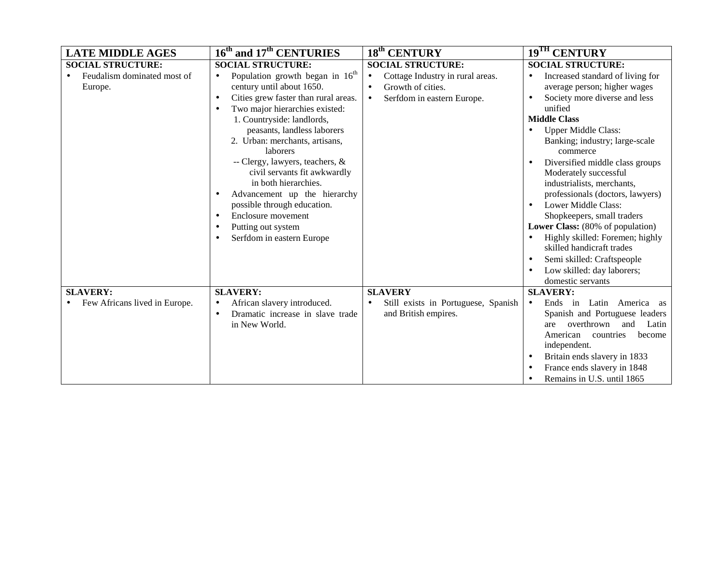| <b>LATE MIDDLE AGES</b>       | 16 <sup>th</sup> and 17 <sup>th</sup> CENTURIES   | $\overline{18}^{\text{th}}$ CENTURY              | 19 <sup>TH</sup> CENTURY                      |
|-------------------------------|---------------------------------------------------|--------------------------------------------------|-----------------------------------------------|
| <b>SOCIAL STRUCTURE:</b>      | <b>SOCIAL STRUCTURE:</b>                          | <b>SOCIAL STRUCTURE:</b>                         | <b>SOCIAL STRUCTURE:</b>                      |
| Feudalism dominated most of   | Population growth began in 16 <sup>th</sup>       | Cottage Industry in rural areas.<br>$\bullet$    | Increased standard of living for<br>$\bullet$ |
| Europe.                       | century until about 1650.                         | Growth of cities.<br>$\bullet$                   | average person; higher wages                  |
|                               | Cities grew faster than rural areas.<br>$\bullet$ | Serfdom in eastern Europe.<br>$\bullet$          | Society more diverse and less                 |
|                               | Two major hierarchies existed:                    |                                                  | unified                                       |
|                               | 1. Countryside: landlords,                        |                                                  | <b>Middle Class</b>                           |
|                               | peasants, landless laborers                       |                                                  | <b>Upper Middle Class:</b>                    |
|                               | 2. Urban: merchants, artisans,                    |                                                  | Banking; industry; large-scale                |
|                               | laborers                                          |                                                  | commerce                                      |
|                               | -- Clergy, lawyers, teachers, &                   |                                                  | Diversified middle class groups<br>$\bullet$  |
|                               | civil servants fit awkwardly                      |                                                  | Moderately successful                         |
|                               | in both hierarchies.                              |                                                  | industrialists, merchants,                    |
|                               | Advancement up the hierarchy                      |                                                  | professionals (doctors, lawyers)              |
|                               | possible through education.                       |                                                  | Lower Middle Class:                           |
|                               | Enclosure movement<br>$\bullet$                   |                                                  | Shopkeepers, small traders                    |
|                               | Putting out system                                |                                                  | Lower Class: (80% of population)              |
|                               | Serfdom in eastern Europe                         |                                                  | Highly skilled: Foremen; highly               |
|                               |                                                   |                                                  | skilled handicraft trades                     |
|                               |                                                   |                                                  | Semi skilled: Craftspeople                    |
|                               |                                                   |                                                  | Low skilled: day laborers;<br>$\bullet$       |
|                               |                                                   |                                                  | domestic servants                             |
| <b>SLAVERY:</b>               | <b>SLAVERY:</b>                                   | <b>SLAVERY</b>                                   | <b>SLAVERY:</b>                               |
| Few Africans lived in Europe. | African slavery introduced.<br>$\bullet$          | Still exists in Portuguese, Spanish<br>$\bullet$ | Ends in Latin America as<br>$\bullet$         |
|                               | Dramatic increase in slave trade                  | and British empires.                             | Spanish and Portuguese leaders                |
|                               | in New World.                                     |                                                  | overthrown<br>and<br>Latin<br>are             |
|                               |                                                   |                                                  | American<br>countries<br>become               |
|                               |                                                   |                                                  | independent.                                  |
|                               |                                                   |                                                  | Britain ends slavery in 1833<br>$\bullet$     |
|                               |                                                   |                                                  | France ends slavery in 1848                   |
|                               |                                                   |                                                  | Remains in U.S. until 1865<br>$\bullet$       |